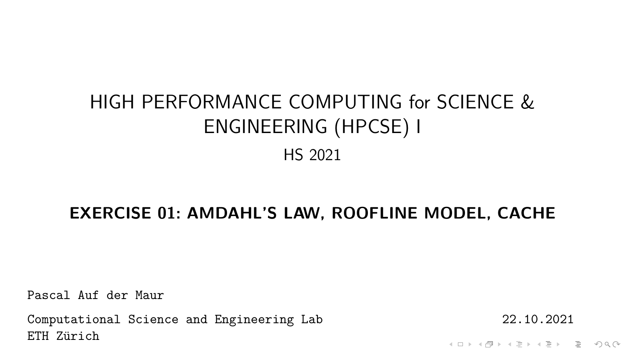# HIGH PERFORMANCE COMPUTING for SCIENCE & ENGINEERING (HPCSE) I HS 2021

#### **EXERCISE 01: AMDAHL'S LAW, ROOFLINE MODEL, CACHE**

Pascal Auf der Maur

Computational Science and Engineering Lab 22.10.2021 ETH Zürich

A ロト K 何 ト K ヨ ト K ヨ ト ニヨー Y Q (^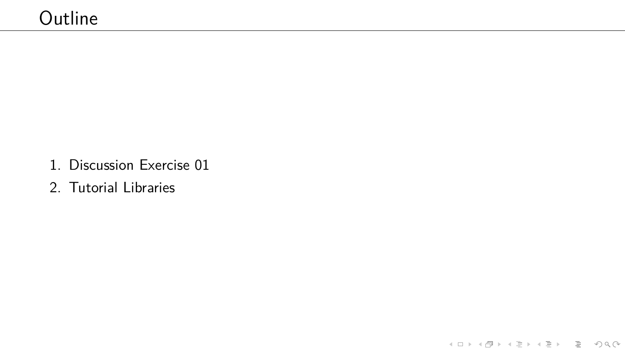- 1. Discussion Exercise 01
- 2. Tutorial Libraries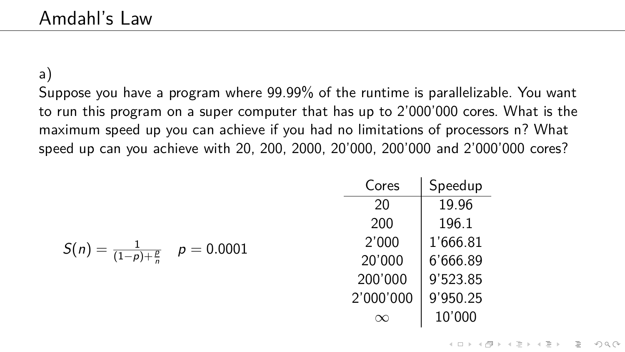a)

Suppose you have a program where 99.99% of the runtime is parallelizable. You want to run this program on a super computer that has up to 2'000'000 cores. What is the maximum speed up you can achieve if you had no limitations of processors n? What speed up can you achieve with 20, 200, 2000, 20'000, 200'000 and 2'000'000 cores?

| Cores     | Speedup  |  |
|-----------|----------|--|
| 20        | 19.96    |  |
| 200       | 196.1    |  |
| 2'000     | 1'666.81 |  |
| 20'000    | 6'666.89 |  |
| 200'000   | 9'523.85 |  |
| 2'000'000 | 9'950.25 |  |
|           | 10'000   |  |

$$
S(n) = \frac{1}{(1-p)+\frac{p}{n}} \quad p = 0.0001
$$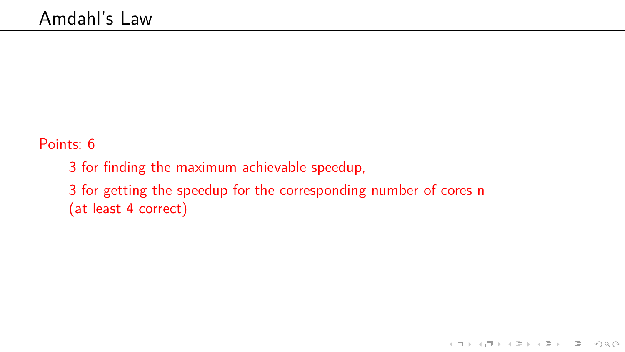Points: 6

3 for finding the maximum achievable speedup, 3 for getting the speedup for the corresponding number of cores n (at least 4 correct)

イロト イ母 トイミト イミト ニヨー りんぐ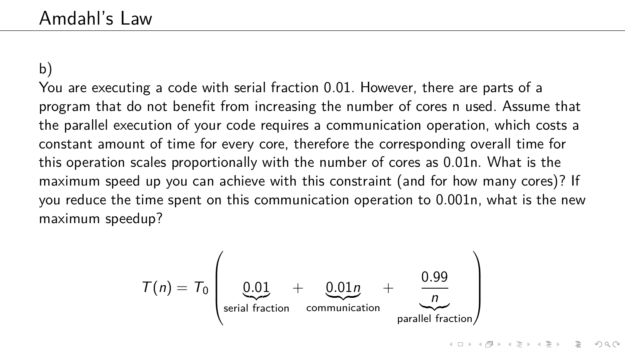b)

You are executing a code with serial fraction 0.01. However, there are parts of a program that do not benefit from increasing the number of cores n used. Assume that the parallel execution of your code requires a communication operation, which costs a constant amount of time for every core, therefore the corresponding overall time for this operation scales proportionally with the number of cores as 0.01n. What is the maximum speed up you can achieve with this constraint (and for how many cores)? If you reduce the time spent on this communication operation to 0.001n, what is the new maximum speedup?

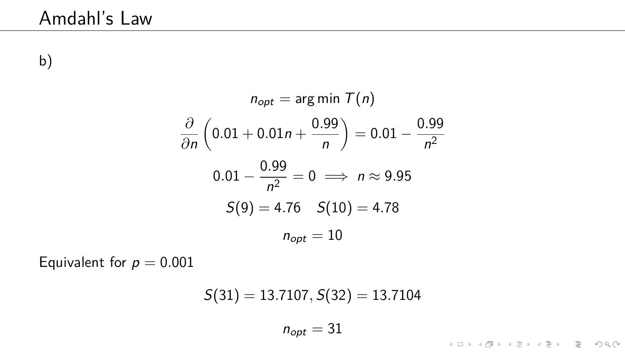b)

$$
n_{opt} = \arg \min \mathcal{T}(n)
$$

$$
\frac{\partial}{\partial n} \left( 0.01 + 0.01n + \frac{0.99}{n} \right) = 0.01 - \frac{0.99}{n^2}
$$

$$
0.01 - \frac{0.99}{n^2} = 0 \implies n \approx 9.95
$$

$$
S(9) = 4.76 \quad S(10) = 4.78
$$

$$
n_{opt} = 10
$$

Equivalent for  $p = 0.001$ 

$$
S(31) = 13.7107, S(32) = 13.7104
$$
  

$$
n_{opt} = 31
$$

**Kロト K部ト K目ト K目ト 「目」 のQ (V)**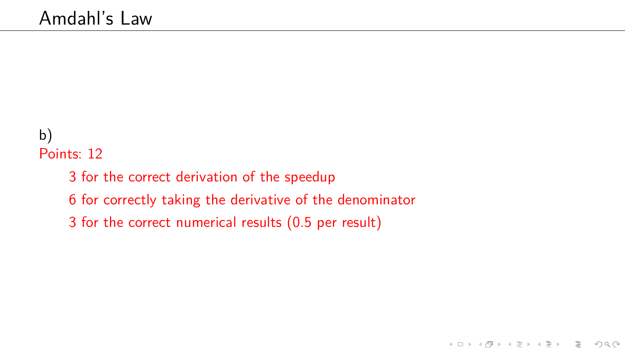## b) Points: 12

- 3 for the correct derivation of the speedup
- 6 for correctly taking the derivative of the denominator
- 3 for the correct numerical results (0.5 per result)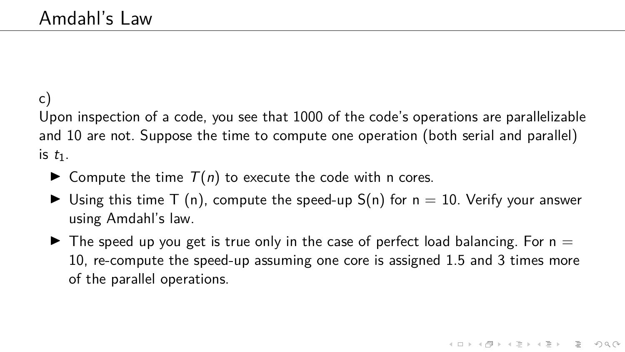## c)

Upon inspection of a code, you see that 1000 of the code's operations are parallelizable and 10 are not. Suppose the time to compute one operation (both serial and parallel) is  $t_1$ .

- $\blacktriangleright$  Compute the time  $T(n)$  to execute the code with n cores.
- $\blacktriangleright$  Using this time T (n), compute the speed-up S(n) for  $n = 10$ . Verify your answer using Amdahl's law.
- $\blacktriangleright$  The speed up you get is true only in the case of perfect load balancing. For n  $=$ 10, re-compute the speed-up assuming one core is assigned 1.5 and 3 times more of the parallel operations.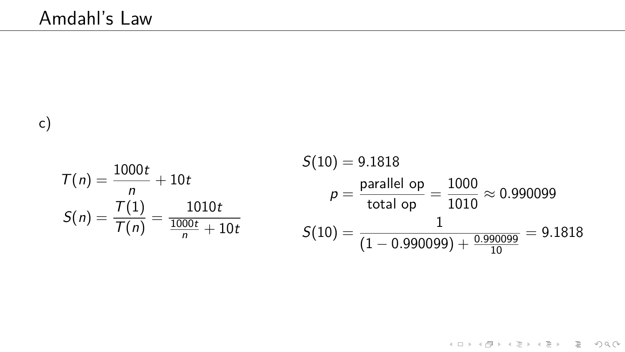c)

$$
T(n) = \frac{1000t}{n} + 10t
$$
  
\n
$$
S(10) = 9.1818
$$
  
\n
$$
p = \frac{\text{parallel op}}{\text{total op}} = \frac{1000}{1010} \approx 0.990099
$$
  
\n
$$
S(n) = \frac{T(1)}{T(n)} = \frac{1010t}{\frac{1000t}{n} + 10t}
$$
  
\n
$$
S(10) = \frac{1}{(1 - 0.990099) + \frac{0.990099}{10}} = 9.1818
$$

 $\mathcal{A} \subseteq \mathbb{P} \rightarrow \mathcal{A} \subseteq \mathbb{P} \rightarrow \mathcal{A} \subseteq \mathbb{P} \rightarrow \mathbb{P} \subseteq \mathbb{P} \rightarrow \mathbb{P} \cup \mathcal{A} \subseteq \mathcal{A}$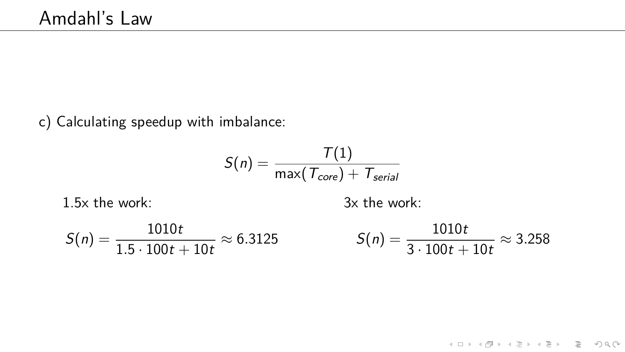c) Calculating speedup with imbalance:

$$
S(n) = \frac{T(1)}{\max(T_{core}) + T_{serial}}
$$

1.5x the work:

3x the work:

$$
S(n) = \frac{1010t}{1.5 \cdot 100t + 10t} \approx 6.3125 \qquad S(n) = \frac{1010t}{3 \cdot 100t + 10t} \approx 3.258
$$

**Kロト K個 K K ミト K ミト ニミー りなぐ**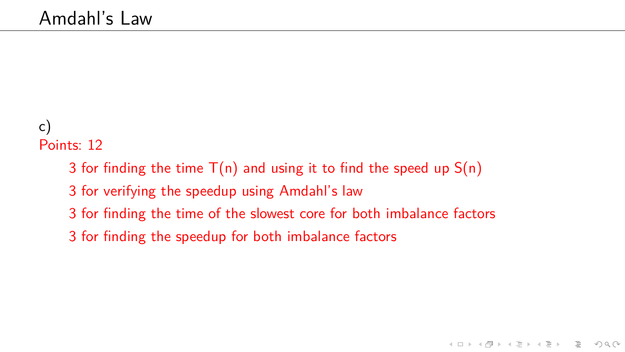#### c) Points: 12

- 3 for finding the time  $T(n)$  and using it to find the speed up  $S(n)$
- 3 for verifying the speedup using Amdahl's law
- 3 for finding the time of the slowest core for both imbalance factors
- 3 for finding the speedup for both imbalance factors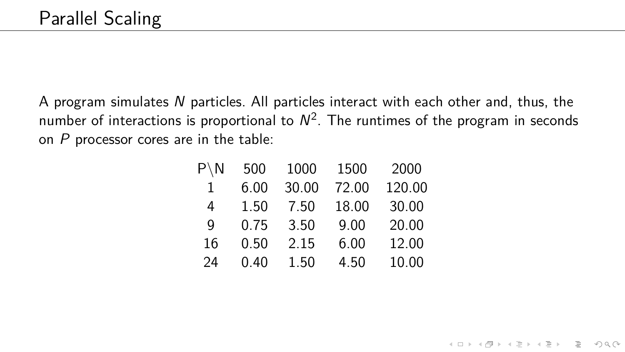A program simulates N particles. All particles interact with each other and, thus, the number of interactions is proportional to  $N^2$ . The runtimes of the program in seconds on  $P$  processor cores are in the table:

| $P \setminus N$ | 500  | 1000  | 1500  | 2000   |
|-----------------|------|-------|-------|--------|
| 1               | 6.00 | 30.00 | 72.00 | 120.00 |
| 4               | 1.50 | 7.50  | 18.00 | 30.00  |
| q               | 0.75 | 3.50  | 9.00  | 20.00  |
| 16              | 0.50 | 2.15  | 6.00  | 12.00  |
| 24              | 0.40 | 1.50  | 4.50  | 10.00  |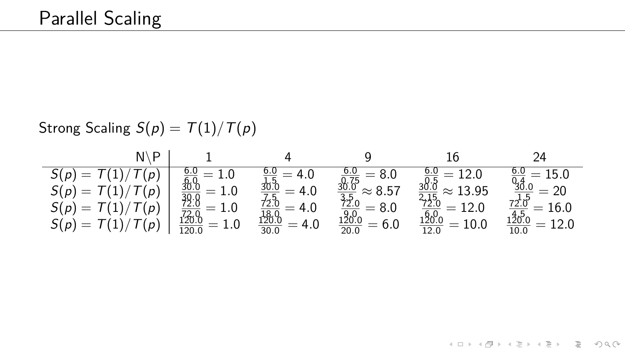<span id="page-12-0"></span>Strong Scaling  $S(p) = T(1)/T(p)$ 

| - D                    |                                                                      |                                                     |                                                                                             |                                                     |                                                        |
|------------------------|----------------------------------------------------------------------|-----------------------------------------------------|---------------------------------------------------------------------------------------------|-----------------------------------------------------|--------------------------------------------------------|
| $S(p) = T(1)/T(p)$     |                                                                      | 4.0                                                 | $= 8.0$                                                                                     | $=12.0$                                             | $=15.0$                                                |
| $S(p) = T(1)/T(p)$     | $\frac{6.0}{6.0}$ $\frac{30.0}{39.0}$ $\frac{72.0}{72.0}$<br>$= 1.0$ | $=4.0$                                              | $\approx 8.57$                                                                              | $\approx 13.95$                                     | $\frac{0.4}{30.0}$<br>$=20$                            |
| $S(p) = T(1)/T(p)$     | $=1.0$                                                               | = 4.0                                               | $= 8.0$                                                                                     | $= 12.0$                                            | $= 16.0$                                               |
| $S(\rho)=T(1)/T(\rho)$ | $\frac{120.0}{120.0}$<br>$=1.0$                                      | $\frac{72.0}{18.0}$ $\frac{120.0}{30.0}$<br>$= 4.0$ | $\frac{10.75}{0.75}$ $\frac{30.0}{3.5}$ $\frac{72.0}{20.0}$ $\frac{120.0}{20.0}$<br>$= 6.0$ | $\frac{715}{72.0}$ $\frac{120.0}{12.0}$<br>$= 10.0$ | $\frac{72.0^{12}}{120.0}$ $\frac{120.0}{10.0}$<br>12.0 |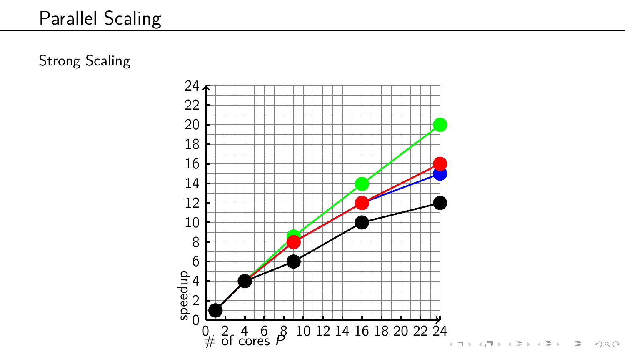Strong Scaling

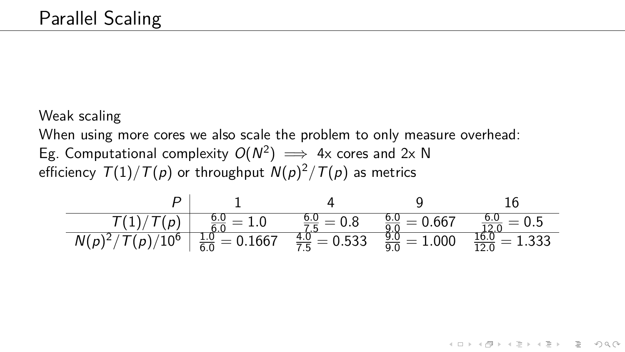Weak scaling

When using more cores we also scale the problem to only measure overhead:

Eg. Computational complexity  $O(N^2) \implies 4x$  cores and 2x N efficiency T(1)*/*T(p) or throughput N(p) <sup>2</sup>*/*T(p) as metrics

| P                  | 1                          | 4                         | 9                         | 16                          |
|--------------------|----------------------------|---------------------------|---------------------------|-----------------------------|
| $T(1)/T(p)$        | $\frac{6.0}{6.0} = 1.0$    | $\frac{6.0}{7.5} = 0.8$   | $\frac{6.0}{9.0} = 0.667$ | $\frac{6.0}{12.0} = 0.5$    |
| $N(p)^2/T(p)/10^6$ | $\frac{1.0}{6.0} = 0.1667$ | $\frac{4.0}{7.5} = 0.533$ | $\frac{9.0}{9.0} = 1.000$ | $\frac{16.0}{12.0} = 1.333$ |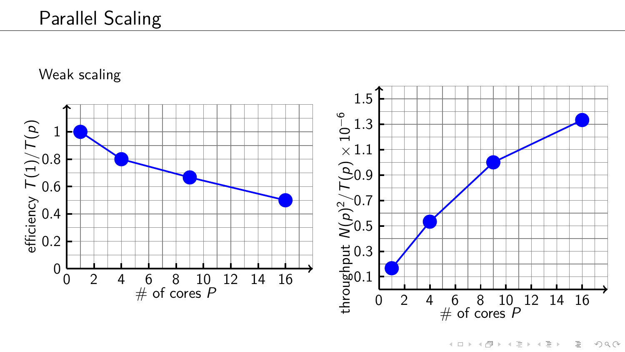Weak scaling

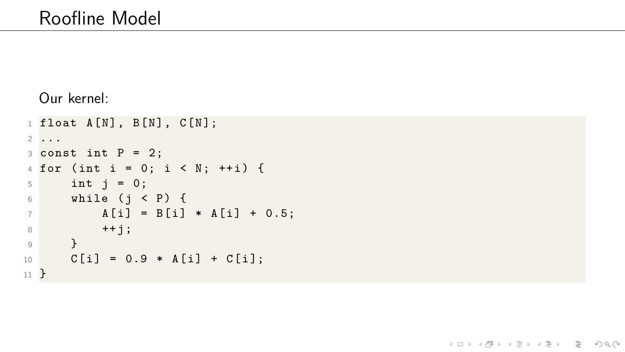#### Our kernel:

```
1 float A[N], B[N], C[N];
2 ...
3 const int P = 2;
4 for (int i = 0; i < N; ++i) {
5 int j = 0;
6 while (j < P) {
A[i] = B[i] * A[i] + 0.5;8 + j;9 }
10 C[i] = 0.9 * A[i] + C[i];11 }
```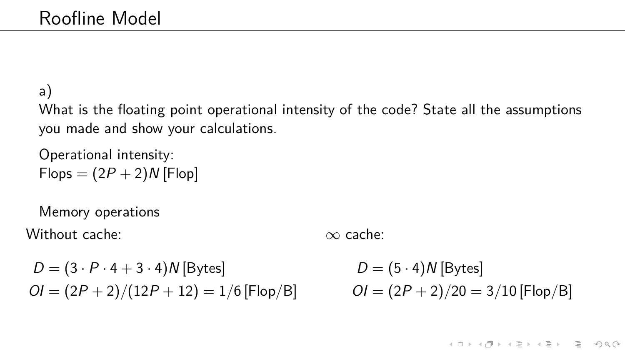## a) What is the floating point operational intensity of the code? State all the assumptions you made and show your calculations.

Operational intensity:  $Flops = (2P + 2)N$  [Flop]

Memory operations Without cache:

∞ cache:

 $D = (3 \cdot P \cdot 4 + 3 \cdot 4)N$  [Bytes]  $OI = (2P + 2)/(12P + 12) = 1/6$  [Flop/B]

 $D = (5 \cdot 4)N$  [Bytes]  $OI = (2P + 2)/20 = 3/10$  [Flop/B]

 $4 \Box + 4 \Box + 4 \Xi + 4 \Xi + 4 \Xi + 4 \Xi$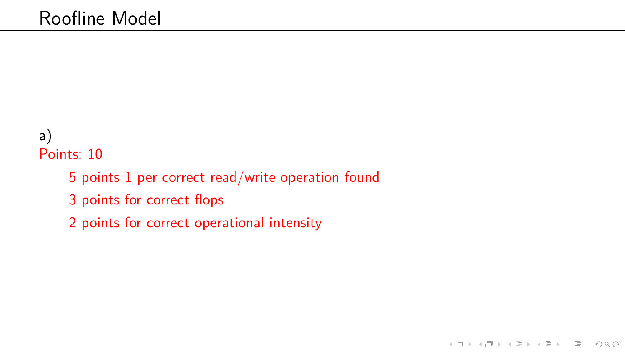### a) Points: 10

- 5 points 1 per correct read/write operation found
- 3 points for correct flops
- 2 points for correct operational intensity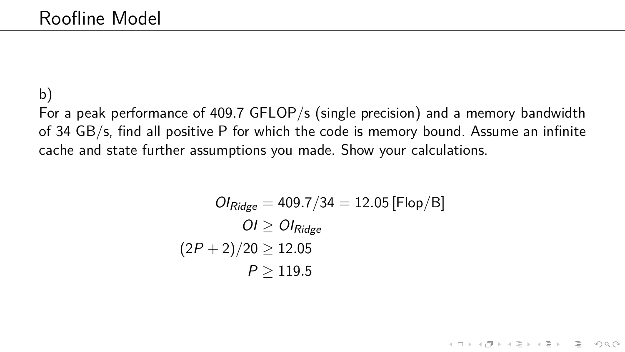## b) For a peak performance of 409.7 GFLOP/s (single precision) and a memory bandwidth of 34 GB/s, find all positive P for which the code is memory bound. Assume an infinite cache and state further assumptions you made. Show your calculations.

$$
Ol_{Ridge} = 409.7/34 = 12.05 \,[\text{Flop/B}]
$$
\n
$$
OI \ge Ol_{Ridge}
$$
\n
$$
(2P + 2)/20 \ge 12.05
$$
\n
$$
P \ge 119.5
$$

K ロ ▶ K 리 ▶ K 코 ▶ K 코 ▶ │ 코 │ ◆ 9 Q (\*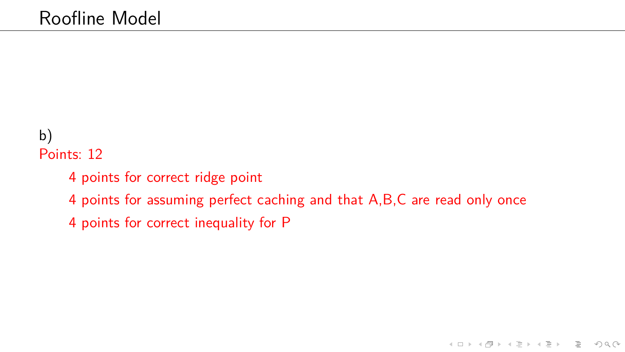## b) Points: 12

- 4 points for correct ridge point
- 4 points for assuming perfect caching and that A,B,C are read only once
- 4 points for correct inequality for P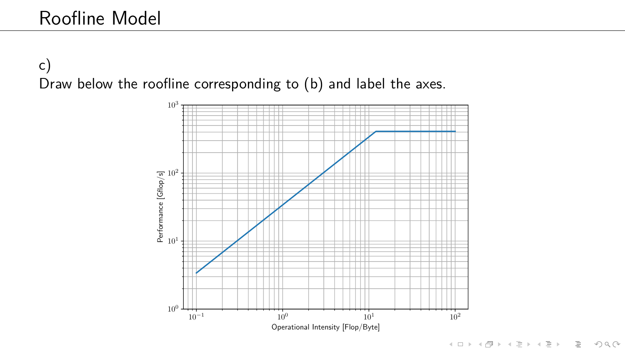c) Draw below the roofline corresponding to (b) and label the axes.

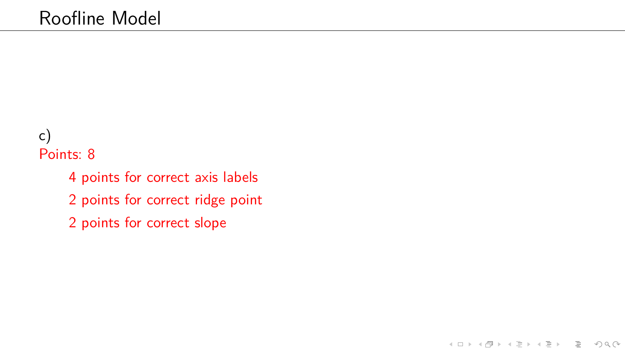### c) Points: 8

- 4 points for correct axis labels
- 2 points for correct ridge point
- 2 points for correct slope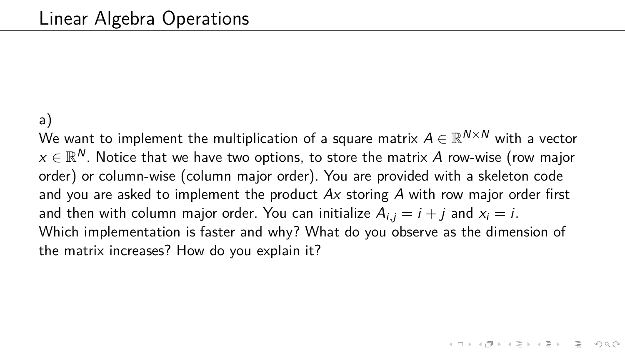#### a)

We want to implement the multiplication of a square matrix  $A \in \mathbb{R}^{N \times N}$  with a vector  $\mathsf{x} \in \mathbb{R}^{\textsf{N}}.$  Notice that we have two options, to store the matrix  $A$  row-wise (row major order) or column-wise (column major order). You are provided with a skeleton code and you are asked to implement the product  $Ax$  storing  $A$  with row major order first and then with column major order. You can initialize  $A_{i,j} = i + j$  and  $x_i = i$ . Which implementation is faster and why? What do you observe as the dimension of the matrix increases? How do you explain it?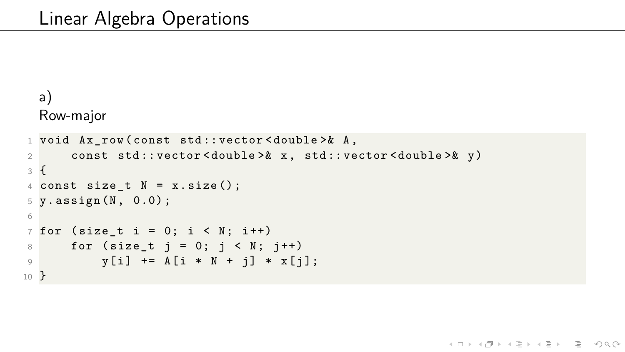```
a)
  Row-major
1 void Ax row ( const std :: vector < double >& A,
2 const std :: vector < double >& x , std :: vector < double >& y )
3 {
4 const size t N = x.size();
5 \text{ y.} assign (N, 0.0);
6
\frac{7}{7} for (size t i = 0; i < N; i + +)
8 for (size_t i = 0; i < N; i++)9 y[i] += A[i * N + j] * x[j];10 }
```
KED KAP KED KED E YAN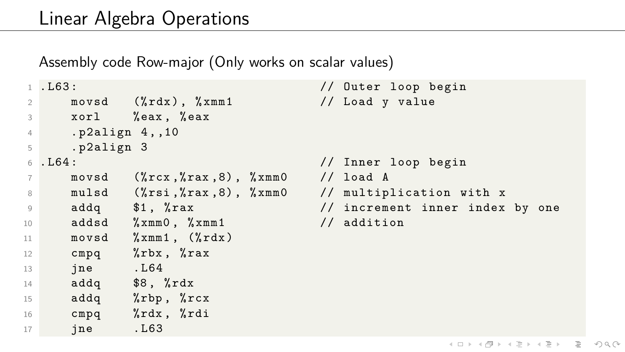Assembly code Row-major (Only works on scalar values)

```
1 . L63 : // Outer loop begin
2 movsd (\frac{M}{K}rdx), \frac{M}{K}rmm1 // Load y value
3 xorl % eax , % eax
4 . p2align 4 , ,10
5 . p2align 3
6 . L64 : // Inner loop begin
7 movsd (% rcx ,% rax ,8) , % xmm0 // load A
8 mulsd (\frac{9}{15}r^2, \frac{9}{15}r^3, \frac{9}{15}r^4, \frac{9}{15}r^5, \frac{9}{15}r^6, \frac{1}{15}r^7, \frac{1}{15}r^8, \frac{1}{15}r^6, \frac{1}{15}r^5, \frac{1}{15}r^5, \frac{1}{15}r^5, \frac{1}{15}r^5, \frac{1}{15}r^5, \frac{1}{15}r^5, \frac{1}{15}r^5, \frac{1}{15}r^5, \frac{1}{15}r^5, \frac{1}{15}r9 addq $1, % rax \frac{1}{2} , and \frac{1}{2} increment inner index by one
10 addsd %xmm0, %xmm1 // addition
11 movsd \gammaxmm1, (\gammardx)
12 cmpq %rbx, %rax
13 jne . L64
14 addq $8, \t%rdx
15 addq \gammarbp, \gammarcx
16 cmpq %rdx, %rdi
17 jne . L63
```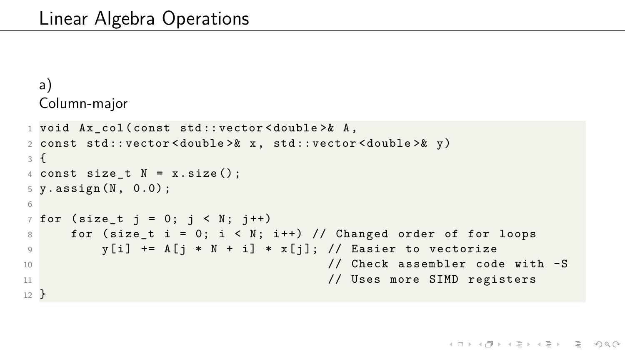```
a)
Column-major
```

```
1 void Ax_col ( const std :: vector < double >& A ,
2 const std :: vector < double >& x , std :: vector < double >& y )
3 {
4 const size_t N = x.size();
5 \text{ y.} assign (N, 0.0);
6
7 for (size_t j = 0; j < N; j++)8 for (size t i = 0; i < N; i ++) // Changed order of for loops
9 y [i] += A [j * N + i] * x [j]; // Easier to vectorize
10 // Check assembler code with -S
11 11 // Uses more SIMD registers
12 }
```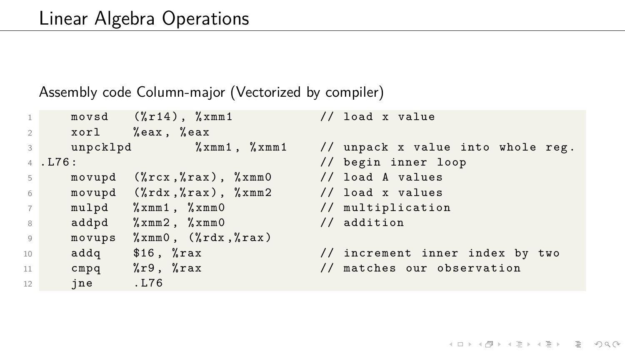#### Assembly code Column-major (Vectorized by compiler)

```
1 movsd (\frac{9}{14}), \frac{9}{100} and x value
2 xorl %eax, %eax
3 unpcklpd % xmm1 , % xmm1 // unpack x value into whole reg .
4 . L76 : // begin inner loop
5 movupd (\text{%rcx}, \text{%rax}), \text{%xmm0} // load A values
6 movupd (\lambda rdx, \lambda rax), \lambda xmx // load x values
7 mulpd %xmm1, %xmm0 // multiplication
8 addpd %xmm2, %xmm0 // addition
9 movups \gammaxmm0, (\gammardx,\gammarax)
10 addq $16, %rax // increment inner index by two
11 cmpq % r9 , % rax // matches our observation
12 jne . L76
```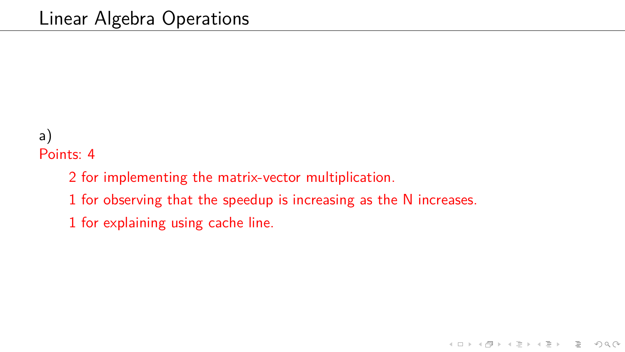## a) Points: 4

- 2 for implementing the matrix-vector multiplication.
- 1 for observing that the speedup is increasing as the N increases.
- 1 for explaining using cache line.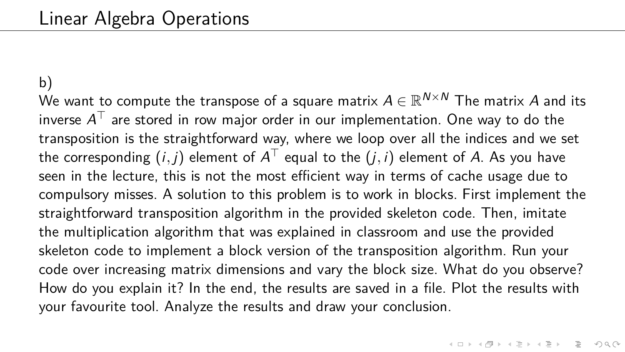b) We want to compute the transpose of a square matrix  $A \in \mathbb{R}^{N \times N}$  The matrix  $A$  and its inverse  $\mathcal{A}^\top$  are stored in row major order in our implementation. One way to do the transposition is the straightforward way, where we loop over all the indices and we set the corresponding  $(i,j)$  element of  $A^\top$  equal to the  $(j,i)$  element of  $A$ . As you have seen in the lecture, this is not the most efficient way in terms of cache usage due to compulsory misses. A solution to this problem is to work in blocks. First implement the straightforward transposition algorithm in the provided skeleton code. Then, imitate the multiplication algorithm that was explained in classroom and use the provided skeleton code to implement a block version of the transposition algorithm. Run your code over increasing matrix dimensions and vary the block size. What do you observe? How do you explain it? In the end, the results are saved in a file. Plot the results with your favourite tool. Analyze the results and draw your conclusion.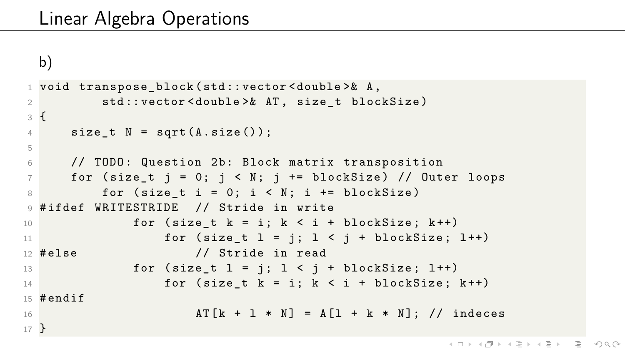```
b)
```

```
1 void transpose_block ( std :: vector < double >& A ,
2 std:: vector < double > & AT, size t blockSize )
3 {
4 size t N = sqrt(A.size()) ;
5
6 // TODO: Question 2b: Block matrix transposition
7 for (size_t j = 0; j < N; j += blockSize) // Outer loops
8 for (size_t i = 0; i < N; i += blockSize)
9 #ifdef WRITESTRIDE // Stride in write
10 for (size t k = i; k < i + blockSize; k++)
11 for (size_t l = j; l < j + blockSize; l++)
12 #else // Stride in read
13 for (size t l = j; l \le j +  blockSize; l + +)
14 for (size_t k = i; k < i + blockSize; k++)
15 #endif
16 AT [k + 1 * N] = A [1 + k * N]; // indeces17 }
```
KED KAP KED KED E YAN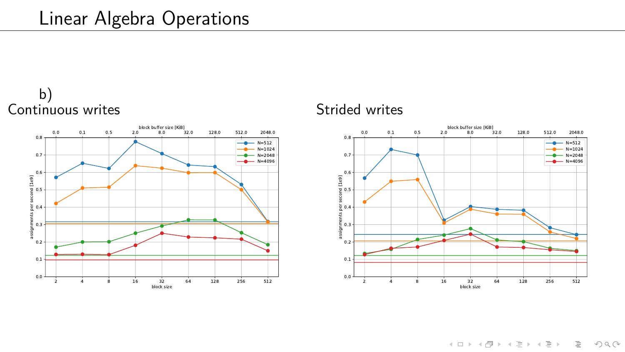



#### Strided writes



イロト (個)トイミト (ミ)トーミー りんぺ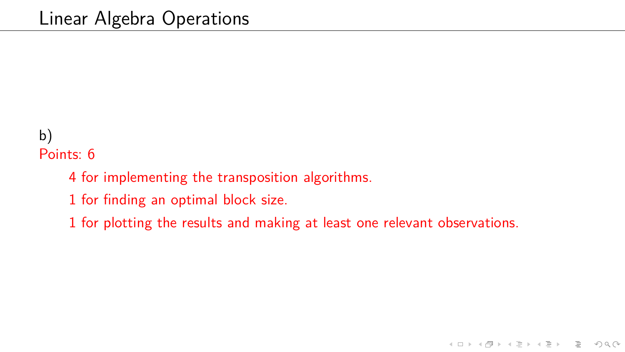## b) Points: 6

- 4 for implementing the transposition algorithms.
- 1 for finding an optimal block size.
- 1 for plotting the results and making at least one relevant observations.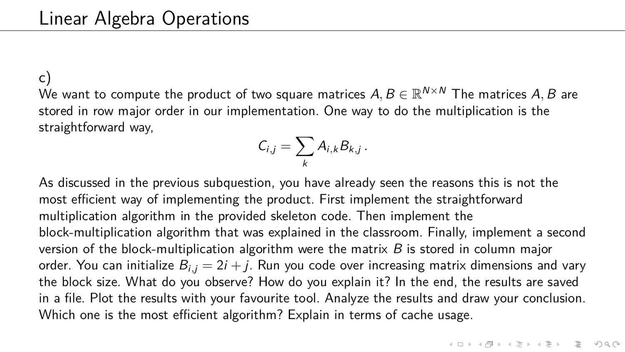c) We want to compute the product of two square matrices  $A,B\in\mathbb{R}^{N\times N}$  The matrices  $A,B$  are stored in row major order in our implementation. One way to do the multiplication is the straightforward way,

$$
C_{i,j}=\sum_k A_{i,k}B_{k,j}.
$$

As discussed in the previous subquestion, you have already seen the reasons this is not the most efficient way of implementing the product. First implement the straightforward multiplication algorithm in the provided skeleton code. Then implement the block-multiplication algorithm that was explained in the classroom. Finally, implement a second version of the block-multiplication algorithm were the matrix  $B$  is stored in column major order. You can initialize  $B_{i,j} = 2i + j$ . Run you code over increasing matrix dimensions and vary the block size. What do you observe? How do you explain it? In the end, the results are saved in a file. Plot the results with your favourite tool. Analyze the results and draw your conclusion. Which one is the most efficient algorithm? Explain in terms of cache usage.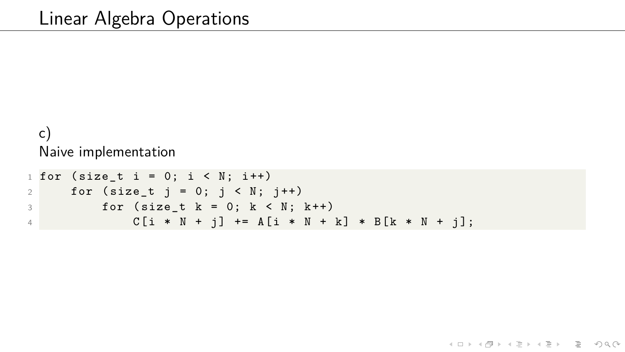#### c) Naive implementation

```
1 for (size t i = 0; i < N; i ++)
2 for (size t j = 0; j \lt N; j++)3 for (size_t k = 0; k < N; k++)4 C [i * N + j] += A[i * N + k] * B[k * N + j];
```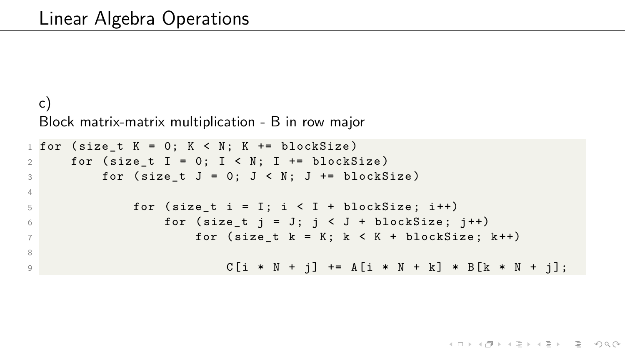#### c) Block matrix-matrix multiplication - B in row major

```
1 for (size t K = 0; K < N; K += blockSize)
2 for (size_t I = 0; I < N; I += blockSize)
\overline{3} for (size t J = 0; J < N; J += blockSize)
4
5 for (size_t i = I; i < I + blockSize; i++)
6 for (size_t j = J; j < J + blockSize; j++)
7 for ( size_t k = K ; k < K + blockSize ; k ++)
8
9 C [i * N + j] += A[i * N + k] * B[k * N + j];
```
KED KAP KED KED E YAN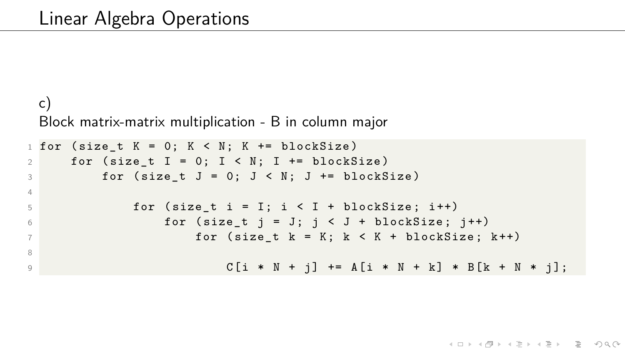#### c) Block matrix-matrix multiplication - B in column major

```
1 for (size t K = 0; K < N; K += blockSize)
2 for (size_t I = 0; I < N; I += blockSize)
\overline{3} for (size t J = 0; J < N; J += blockSize)
4
5 for (size_t i = I; i < I + blockSize; i++)
6 for (size_t j = J; j < J + blockSize; j++)
7 for ( size_t k = K ; k < K + blockSize ; k ++)
8
9 C [i * N + j] += A[i * N + k] * B[k + N * j];
```
KED KAP KED KED E YAN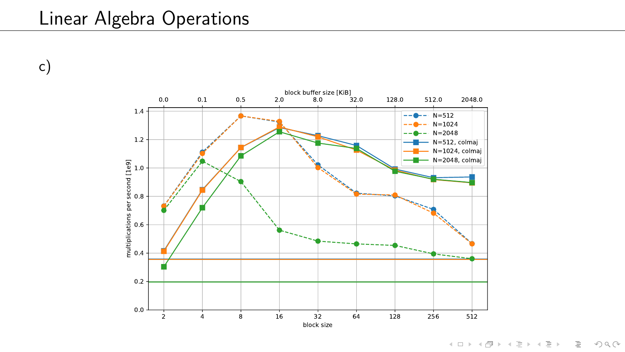## Linear Algebra Operations

c)



(ロ) (個) (ミ) (ミ) = ウQQ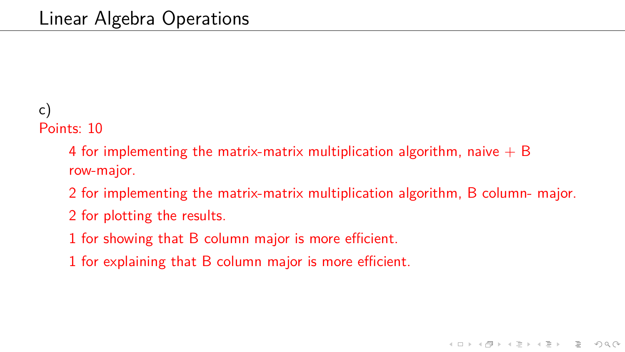## c) Points: 10

4 for implementing the matrix-matrix multiplication algorithm, naive  $+ B$ row-major.

2 for implementing the matrix-matrix multiplication algorithm, B column- major.

- 2 for plotting the results.
- 1 for showing that B column major is more efficient.
- 1 for explaining that B column major is more efficient.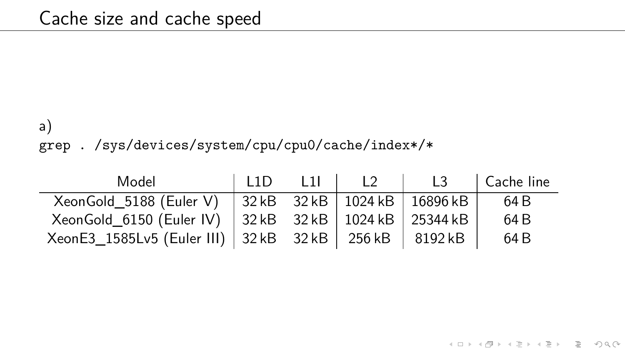## a)

grep . /sys/devices/system/cpu/cpu0/cache/index\*/\*

| Model                                                       | $\vert$ 11D 11 $\vert$ | $\overline{12}$ | L <sub>3</sub> | Cache line |
|-------------------------------------------------------------|------------------------|-----------------|----------------|------------|
| XeonGold_5188 (Euler V) 32 kB 32 kB   1024 kB   16896 kB    |                        |                 |                | 64 B       |
| XeonGold_6150 (Euler IV) 32 kB 32 kB   1024 kB   25344 kB   |                        |                 |                | 64 B       |
| XeonE3_1585Lv5 (Euler III)   32 kB 32 kB   256 kB   8192 kB |                        |                 |                | 64 B       |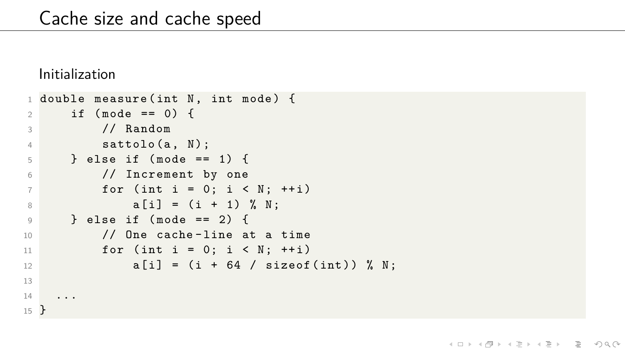Initialization

```
1 double measure (int N, int mode) {
2 if (mode == 0) {
3 // Random
4 sattolo (a, N);
5 \qquad \} else if (mode == 1) {
6 // Increment by one
7 for (int i = 0; i < N; ++i)
8 a[i] = (i + 1) \% N;9 \qquad \frac{1}{2} else if (mode == 2) {
10 // One cache - line at a time
11 for (int i = 0; i < N; ++i)
12 a \begin{bmatrix} i \\ i \end{bmatrix} = (i + 64 / sizeof(int)) % N:13
14 ...
15 }
```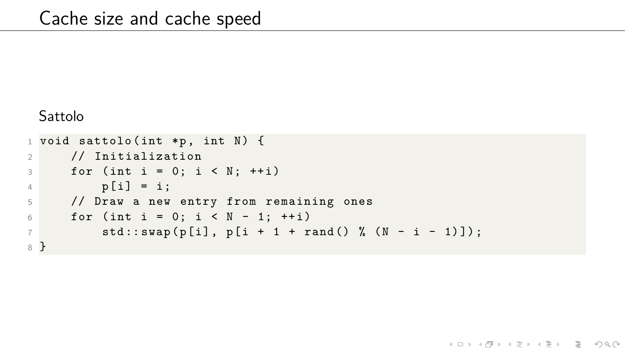#### Sattolo

```
1 void sattolo (int *p, int N) {
2 // Initialization
3 for (int i = 0; i < N; ++i)
4 p[i] = i;5 // Draw a new entry from remaining ones
6 for (int i = 0; i < N - 1; ++i)
7 std:: swap (p[i], p[i + 1 + rand () % (N - i - 1)]);
8 }
```
イロト イ団 トイミト イミト ニヨー りんぐ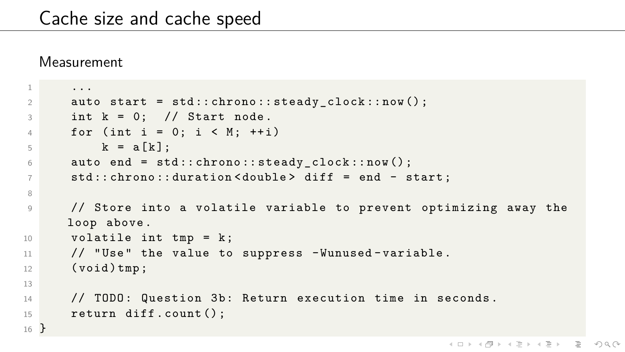#### **Measurement**

```
1 ...
2 auto start = std::chromo::steady clock::now();
3 int k = 0; // Start node.
4 for (int i = 0; i \lt M; ++i)
5 k = a [k];
6 auto end = std:: chrono:: steady_clock:: now ();
7 std :: chrono :: duration < double > diff = end - start ;
8
9 // Store into a volatile variable to prevent optimizing away the
     loop above .
10 volatile int tmp = k;
11 // " Use " the value to suppress - Wunused - variable .
12 (void) tmp;
13
14 // TODO: Question 3b: Return execution time in seconds.
15 return diff.count();
16 }
```